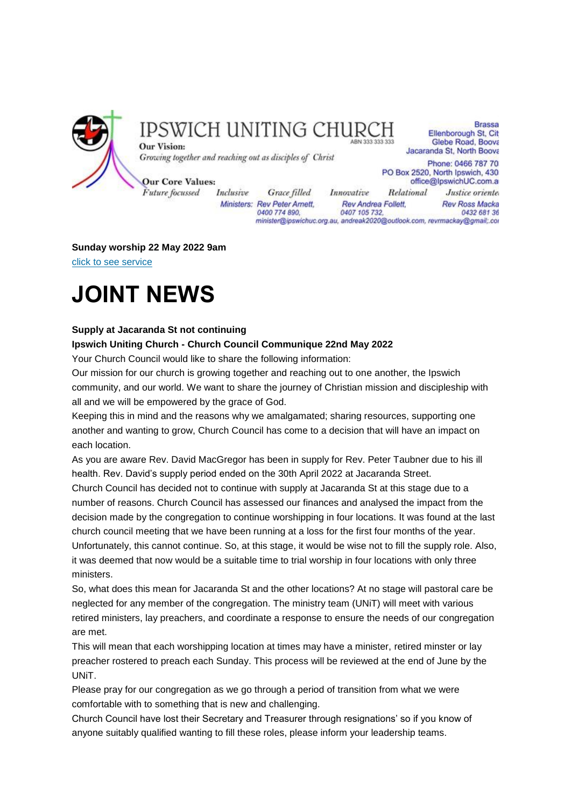

### IPSWICH UNITING CHURC

**Brassa** Ellenborough St, Cit Glebe Road, Boova Jacaranda St, North Boova

Growing together and reaching out as disciples of Christ

Phone: 0466 787 70 PO Box 2520, North Ipswich, 430 office@lpswichUC.com.a

**Our Core Values:** 

Future focussed

**Our Vision:** 

Inclusive Grace filled Ministers: Rev Peter Amett, 0400 774 890,

Innovative Relational Justice oriente. Rev Andrea Follett, **Rev Ross Macka** 0407 105 732, 0432 681 36 minister@ipswichuc.org.au, andreak2020@outlook.com, revrmackay@gmail;.cor

#### **Sunday worship 22 May 2022 9am**

[click to see service](https://youtu.be/g52k4QkrJJ4)

## **JOINT NEWS**

#### **Supply at Jacaranda St not continuing**

#### **Ipswich Uniting Church - Church Council Communique 22nd May 2022**

Your Church Council would like to share the following information:

Our mission for our church is growing together and reaching out to one another, the Ipswich community, and our world. We want to share the journey of Christian mission and discipleship with all and we will be empowered by the grace of God.

Keeping this in mind and the reasons why we amalgamated; sharing resources, supporting one another and wanting to grow, Church Council has come to a decision that will have an impact on each location.

As you are aware Rev. David MacGregor has been in supply for Rev. Peter Taubner due to his ill health. Rev. David's supply period ended on the 30th April 2022 at Jacaranda Street.

Church Council has decided not to continue with supply at Jacaranda St at this stage due to a number of reasons. Church Council has assessed our finances and analysed the impact from the decision made by the congregation to continue worshipping in four locations. It was found at the last church council meeting that we have been running at a loss for the first four months of the year. Unfortunately, this cannot continue. So, at this stage, it would be wise not to fill the supply role. Also, it was deemed that now would be a suitable time to trial worship in four locations with only three ministers.

So, what does this mean for Jacaranda St and the other locations? At no stage will pastoral care be neglected for any member of the congregation. The ministry team (UNiT) will meet with various retired ministers, lay preachers, and coordinate a response to ensure the needs of our congregation are met.

This will mean that each worshipping location at times may have a minister, retired minster or lay preacher rostered to preach each Sunday. This process will be reviewed at the end of June by the UNiT.

Please pray for our congregation as we go through a period of transition from what we were comfortable with to something that is new and challenging.

Church Council have lost their Secretary and Treasurer through resignations' so if you know of anyone suitably qualified wanting to fill these roles, please inform your leadership teams.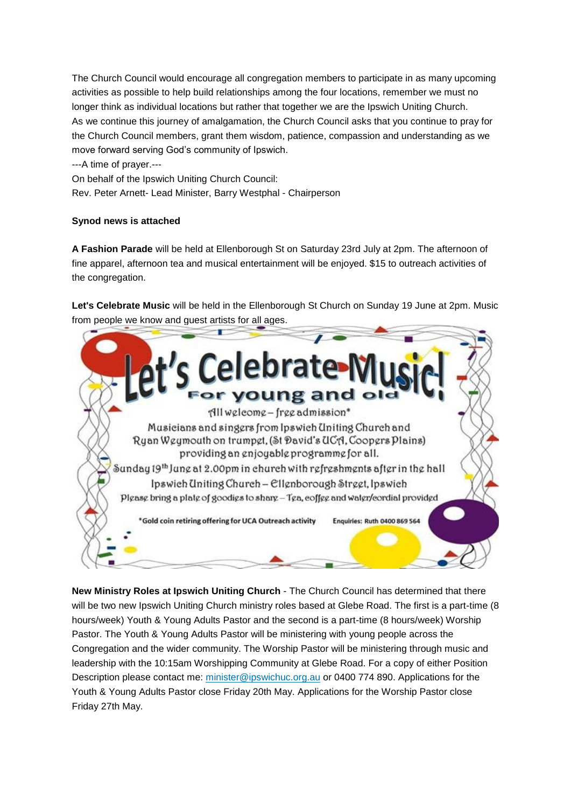The Church Council would encourage all congregation members to participate in as many upcoming activities as possible to help build relationships among the four locations, remember we must no longer think as individual locations but rather that together we are the Ipswich Uniting Church. As we continue this journey of amalgamation, the Church Council asks that you continue to pray for the Church Council members, grant them wisdom, patience, compassion and understanding as we move forward serving God's community of Ipswich.

---A time of prayer.---

On behalf of the Ipswich Uniting Church Council:

Rev. Peter Arnett- Lead Minister, Barry Westphal - Chairperson

#### **Synod news is attached**

**A Fashion Parade** will be held at Ellenborough St on Saturday 23rd July at 2pm. The afternoon of fine apparel, afternoon tea and musical entertainment will be enjoyed. \$15 to outreach activities of the congregation.

**Let's Celebrate Music** will be held in the Ellenborough St Church on Sunday 19 June at 2pm. Music from people we know and guest artists for all ages.



**New Ministry Roles at Ipswich Uniting Church** - The Church Council has determined that there will be two new Ipswich Uniting Church ministry roles based at Glebe Road. The first is a part-time (8 hours/week) Youth & Young Adults Pastor and the second is a part-time (8 hours/week) Worship Pastor. The Youth & Young Adults Pastor will be ministering with young people across the Congregation and the wider community. The Worship Pastor will be ministering through music and leadership with the 10:15am Worshipping Community at Glebe Road. For a copy of either Position Description please contact me: [minister@ipswichuc.org.au](mailto:minister@ipswichuc.org.au) or 0400 774 890. Applications for the Youth & Young Adults Pastor close Friday 20th May. Applications for the Worship Pastor close Friday 27th May.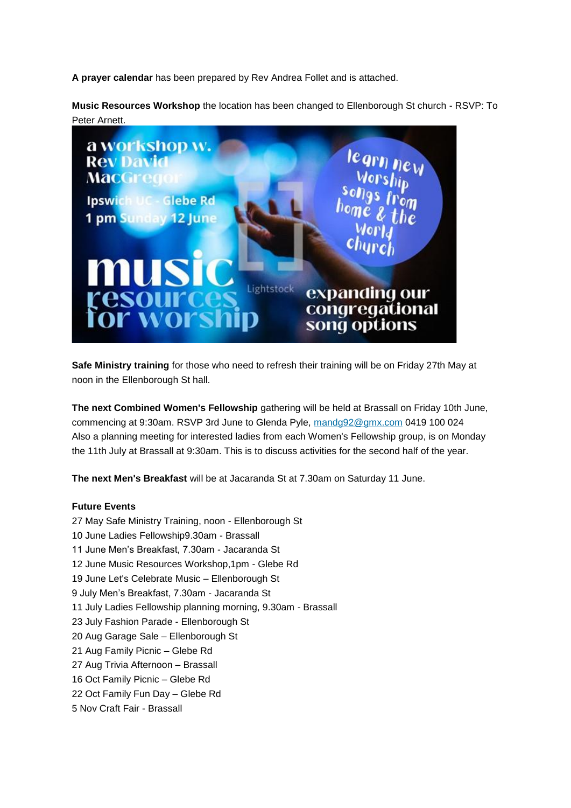**A prayer calendar** has been prepared by Rev Andrea Follet and is attached.

**Music Resources Workshop** the location has been changed to Ellenborough St church - RSVP: To Peter Arnett.



**Safe Ministry training** for those who need to refresh their training will be on Friday 27th May at noon in the Ellenborough St hall.

**The next Combined Women's Fellowship** gathering will be held at Brassall on Friday 10th June, commencing at 9:30am. RSVP 3rd June to Glenda Pyle, [mandg92@gmx.com](mailto:mandg92@gmx.com) 0419 100 024 Also a planning meeting for interested ladies from each Women's Fellowship group, is on Monday the 11th July at Brassall at 9:30am. This is to discuss activities for the second half of the year.

**The next Men's Breakfast** will be at Jacaranda St at 7.30am on Saturday 11 June.

#### **Future Events**

27 May Safe Ministry Training, noon - Ellenborough St 10 June Ladies Fellowship9.30am - Brassall 11 June Men's Breakfast, 7.30am - Jacaranda St 12 June Music Resources Workshop,1pm - Glebe Rd 19 June Let's Celebrate Music – Ellenborough St 9 July Men's Breakfast, 7.30am - Jacaranda St 11 July Ladies Fellowship planning morning, 9.30am - Brassall 23 July Fashion Parade - Ellenborough St 20 Aug Garage Sale – Ellenborough St 21 Aug Family Picnic – Glebe Rd 27 Aug Trivia Afternoon – Brassall 16 Oct Family Picnic – Glebe Rd 22 Oct Family Fun Day – Glebe Rd 5 Nov Craft Fair - Brassall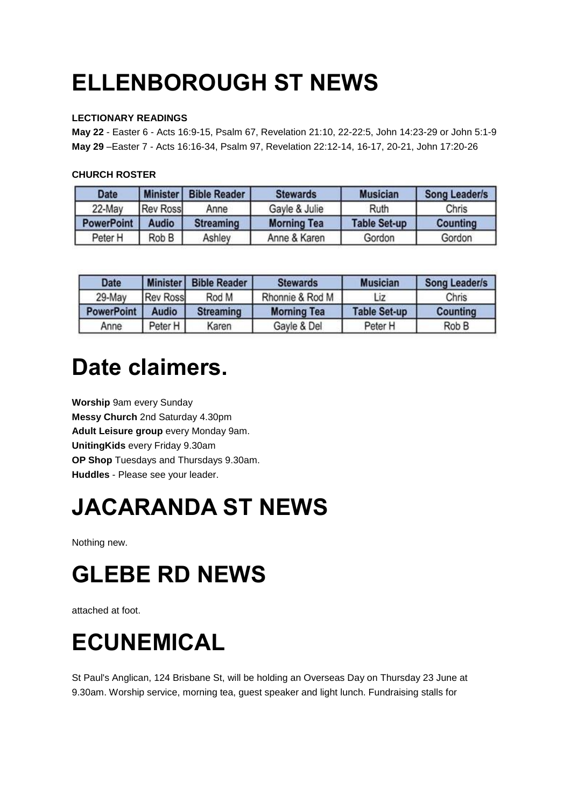# **ELLENBOROUGH ST NEWS**

#### **LECTIONARY READINGS**

**May 22** - Easter 6 - Acts 16:9-15, Psalm 67, Revelation 21:10, 22-22:5, John 14:23-29 or John 5:1-9 **May 29** –Easter 7 - Acts 16:16-34, Psalm 97, Revelation 22:12-14, 16-17, 20-21, John 17:20-26

#### **CHURCH ROSTER**

| <b>Date</b>       | <b>Minister</b> | <b>Bible Reader</b> | <b>Stewards</b>    | <b>Musician</b>     | <b>Song Leader/s</b> |
|-------------------|-----------------|---------------------|--------------------|---------------------|----------------------|
| 22-May            | <b>Rev Ross</b> | Anne                | Gayle & Julie      | Ruth                | Chris                |
| <b>PowerPoint</b> | <b>Audio</b>    | <b>Streaming</b>    | <b>Morning Tea</b> | <b>Table Set-up</b> | Counting             |
| Peter H           | Rob B           | Ashley              | Anne & Karen       | Gordon              | Gordon               |

| <b>Date</b>       | I Minister      | <b>Bible Reader</b> | <b>Stewards</b>    | <b>Musician</b>     | <b>Song Leader/s</b> |
|-------------------|-----------------|---------------------|--------------------|---------------------|----------------------|
| 29-May            | <b>Rev Ross</b> | Rod M               | Rhonnie & Rod M    | Liz                 | Chris                |
| <b>PowerPoint</b> | <b>Audio</b>    | <b>Streaming</b>    | <b>Morning Tea</b> | <b>Table Set-up</b> | <b>Counting</b>      |
| Anne              | Peter H         | Karen               | Gayle & Del        | Peter H             | Rob B                |

### **Date claimers.**

**Worship** 9am every Sunday **Messy Church** 2nd Saturday 4.30pm **Adult Leisure group** every Monday 9am. **UnitingKids** every Friday 9.30am **OP Shop** Tuesdays and Thursdays 9.30am. **Huddles** - Please see your leader.

## **JACARANDA ST NEWS**

Nothing new.

## **GLEBE RD NEWS**

attached at foot.

## **ECUNEMICAL**

St Paul's Anglican, 124 Brisbane St, will be holding an Overseas Day on Thursday 23 June at 9.30am. Worship service, morning tea, guest speaker and light lunch. Fundraising stalls for